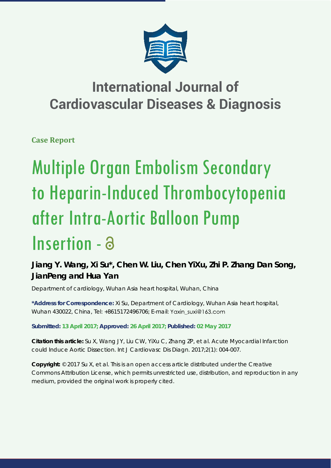

## **International Journal of Cardiovascular Diseases & Diagnosis**

**Case Report**

# Multiple Organ Embolism Secondary to Heparin-Induced Thrombocytopenia after Intra-Aortic Balloon Pump Insertion - a

### **Jiang Y. Wang, Xi Su\*, Chen W. Liu, Chen YiXu, Zhi P. Zhang Dan Song, JianPeng and Hua Yan**

*Department of cardiology, Wuhan Asia heart hospital, Wuhan, China*

**\*Address for Correspondence:** Xi Su, Department of Cardiology, Wuhan Asia heart hospital, Wuhan 430022, China, Tel: +8615172496706; E-mail:

**Submitted: 13 April 2017; Approved: 26 April 2017; Published: 02 May 2017**

**Citation this article:** Su X, Wang JY, Liu CW, YiXu C, Zhang ZP, et al. Acute Myocardial Infarction could Induce Aortic Dissection. Int J Cardiovasc Dis Diagn. 2017;2(1): 004-007.

**Copyright:** © 2017 Su X, et al. This is an open access article distributed under the Creative Commons Attribution License, which permits unrestricted use, distribution, and reproduction in any medium, provided the original work is properly cited.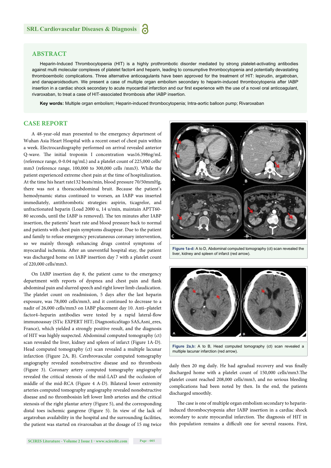#### **ABSTRACT**

 Heparin-Induced Thrombocytopenia (HIT) is a highly prothrombotic disorder mediated by strong platelet-activating antibodies against multi molecular complexes of platelet factor4 and heparin, leading to consumptive thrombocytopenia and potentially devastating thromboembolic complications. Three alternative anticoagulants have been approved for the treatment of HIT: lepirudin, argatroban, and danaparoidsodium. We present a case of multiple organ embolism secondary to heparin-induced thrombocytopenia after IABP insertion in a cardiac shock secondary to acute myocardial infarction and our first experience with the use of a novel oral anticoagulant, rivaroxaban, to treat a case of HIT-associated thrombosis after IABP insertion.

**Key words:** Multiple organ embolism; Heparin-induced thrombocytopenia; Intra-aortic balloon pump; Rivaroxaban

#### **CASE REPORT**

A 48-year-old man presented to the emergency department of Wuhan Asia Heart Hospital with a recent onset of chest pain within a week. Electrocardiography performed on arrival revealed anterior Q-wave. The initial troponin I concentration was16.398ng/mL (reference range, 0-0.04 ng/mL) and a platelet count of 225,000 cells/ mm3 (reference range, 100,000 to 300,000 cells /mm3). While the patient experienced extreme chest pain at the time of hospitalization. At the time his heart rate132 beats/min, blood pressure 70/50mmHg, there was not a thoracoabdominal bruit. Because the patient's hemodynamic status continued to worsen, an IABP was inserted immediately, antithrombotic strategies: aspirin, ticagrelor, and unfractionated heparin (Load 2000 u, 14 u/min, maintain APTT60- 80 seconds, until the IABP is removed). The ten minutes after IABP insertion, the patients' heart rate and blood pressure back to normal and patients with chest pain symptoms disappear. Due to the patient and family to refuse emergency percutaneous coronary intervention, so we mainly through enhancing drugs control symptoms of myocardial ischemia. After an uneventful hospital stay, the patient was discharged home on IABP insertion day 7 with a platelet count of 220,000 cells/mm3.

On IABP insertion day 8, the patient came to the emergency department with reports of dyspnea and chest pain and flank abdominal pain and slurred speech and right lower limb claudication. The platelet count on readmission, 5 days after the last heparin exposure, was 78,000 cells/mm3, and it continued to decrease to a nadir of 26,000 cells/mm3 on IABP placement day 10. Anti–platelet factor4–heparin antibodies were tested by a rapid lateral-flow immunoassay (STic EXPERT HIT; DiagnosticaStago SAS,Asni\_eres, France), which yielded a strongly positive result, and the diagnosis of HIT was highly suspected. Abdominal computed tomography (ct) scan revealed the liver, kidney and spleen of infarct (Figure 1A-D). Head computed tomography (ct) scan revealed a multiple lacunar infarction (Figure 2A, B). Cerebrovascular computed tomography angiography revealed nonobstructive disease and no thrombosis (Figure 3). Coronary artery computed tomography angiography revealed the critical stenosis of the mid-LAD and the occlusion of middle of the mid-RCA (Figure 4 A-D). Bilateral lower extremity arteries computed tomography angiography revealed nonobstructive disease and no thrombosisin left lower limb arteries and the critical stenosis of the right plantar artery (Figure 5), and the corresponding distal toes ischemic gangrene (Figure 5). In view of the lack of argatroban availability in the hospital and the surrounding facilities, the patient was started on rivaroxaban at the dosage of 15 mg twice



**Figure 1a-d:** A to D, Abdominal computed tomography (ct) scan revealed the liver, kidney and spleen of infarct (red arrow).



**Figure 2a,b:** A to B, Head computed tomography (ct) scan revealed a multiple lacunar infarction (red arrow).

daily then 20 mg daily. He had agradual recovery and was finally discharged home with a platelet count of 150,000 cells/mm3.The platelet count reached 208,000 cells/mm3, and no serious bleeding complications had been noted by then. In the end, the patients discharged smoothly.

The case is one of multiple organ embolism secondary to heparininduced thrombocytopenia after IABP insertion in a cardiac shock secondary to acute myocardial infarction. The diagnosis of HIT in this population remains a difficult one for several reasons. First,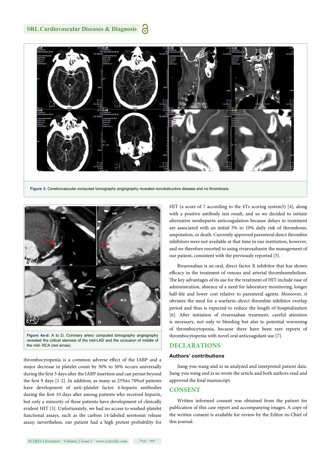#### **SRL Cardiovascular Diseases & Diagnosis**





**Figure 4a-d:** A to D, Coronary artery computed tomography angiography revealed the critical stenosis of the mid-LAD and the occlusion of middle of the mid- RCA (red arrow).

thrombocytopenia is a common adverse effect of the IABP and a major decrease in platelet count by 30% to 50% occurs universally during the first 3 days after the IABP insertion and can persist beyond the first 9 days  $[1-2]$ . In addition, as many as 25% to 70% of patients have development of anti–platelet factor 4-heparin antibodies during the first 10 days after among patients who received heparin, but only a minority of these patients have development of clinically evident HIT [3]. Unfortunately, we had no access to washed-platelet functional assays, such as the carbon 14-labeled serotonin release assay; nevertheless, our patient had a high pretest probability for HIT (a score of 7 according to the 4Ts scoring system3) [4], along with a positive antibody test result, and so we decided to initiate alternative nonheparin anticoagulation because delays in treatment are associated with an initial 5% to 10% daily risk of thrombosis, amputation, or death. Currently approved parenteral direct thrombin inhibitors were not available at that time in our institution, however, and we therefore resorted to using rivaroxabanin the management of our patient, consistent with the previously reported [5].

Rivaroxaban is an oral, direct factor X inhibitor that has shown efficacy in the treatment of venous and arterial thromboembolism. The key advantages of its use for the treatment of HIT include ease of administration, absence of a need for laboratory monitoring, longer half-life and lower cost relative to parenteral agents. Moreover, it obviates the need for a warfarin–direct thrombin inhibitor overlap period and thus is expected to reduce the length of hospitalization [6]. After initiation of rivaroxaban treatment, careful attention is necessary, not only to bleeding but also to potential worsening of thrombocytopenia, because there have been rare reports of thrombocytopenia with novel oral anticoagulant use [7].

#### **DECLARATIONS**

#### **Authors' contributions**

Jiang-you wang and xi su analyzed and interpreted patient data. Jiang-you wang and xi su wrote the article and both authors read and approved the final manuscript.

#### **CONSENT**

Written informed consent was obtained from the patient for publication of this case report and accompanying images. A copy of the written consent is available for review by the Editor-in-Chief of this journal.